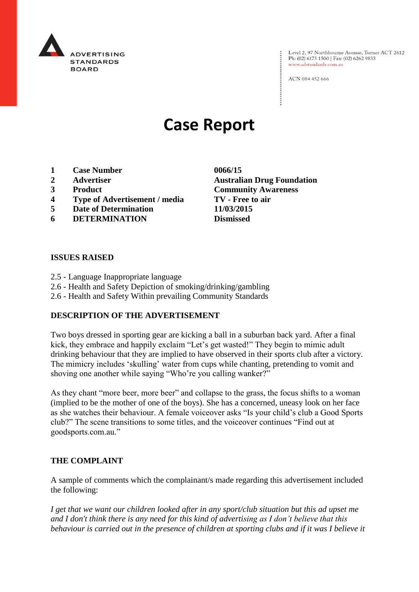

Level 2, 97 Northbourne Avenue, Turner ACT 2612 Ph: (02) 6173 1500 | Fax: (02) 6262 9833 www.adstandards.com.au

ACN 084 452 666

# **Case Report**

- **1 Case Number 0066/15**
- 
- 
- **4 Type of Advertisement / media TV - Free to air**
- **5 Date of Determination 11/03/2015**
- **6 DETERMINATION Dismissed**

## **ISSUES RAISED**

- 2.5 Language Inappropriate language
- 2.6 Health and Safety Depiction of smoking/drinking/gambling
- 2.6 Health and Safety Within prevailing Community Standards

### **DESCRIPTION OF THE ADVERTISEMENT**

Two boys dressed in sporting gear are kicking a ball in a suburban back yard. After a final kick, they embrace and happily exclaim "Let's get wasted!" They begin to mimic adult drinking behaviour that they are implied to have observed in their sports club after a victory. The mimicry includes 'skulling' water from cups while chanting, pretending to vomit and shoving one another while saying "Who're you calling wanker?"

As they chant "more beer, more beer" and collapse to the grass, the focus shifts to a woman (implied to be the mother of one of the boys). She has a concerned, uneasy look on her face as she watches their behaviour. A female voiceover asks "Is your child's club a Good Sports club?" The scene transitions to some titles, and the voiceover continues "Find out at goodsports.com.au."

## **THE COMPLAINT**

A sample of comments which the complainant/s made regarding this advertisement included the following:

*I get that we want our children looked after in any sport/club situation but this ad upset me and I don't think there is any need for this kind of advertising as I don't believe that this behaviour is carried out in the presence of children at sporting clubs and if it was I believe it* 

**2 Advertiser Australian Drug Foundation 3 Product Community Awareness**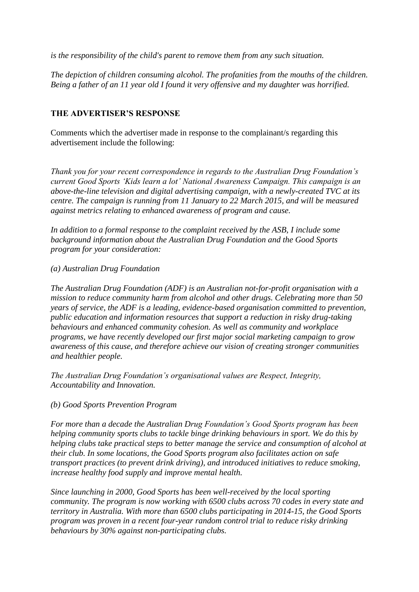*is the responsibility of the child's parent to remove them from any such situation.*

*The depiction of children consuming alcohol. The profanities from the mouths of the children. Being a father of an 11 year old I found it very offensive and my daughter was horrified.*

## **THE ADVERTISER'S RESPONSE**

Comments which the advertiser made in response to the complainant/s regarding this advertisement include the following:

*Thank you for your recent correspondence in regards to the Australian Drug Foundation's current Good Sports 'Kids learn a lot' National Awareness Campaign. This campaign is an above-the-line television and digital advertising campaign, with a newly-created TVC at its centre. The campaign is running from 11 January to 22 March 2015, and will be measured against metrics relating to enhanced awareness of program and cause.*

*In addition to a formal response to the complaint received by the ASB, I include some background information about the Australian Drug Foundation and the Good Sports program for your consideration:*

### *(a) Australian Drug Foundation*

*The Australian Drug Foundation (ADF) is an Australian not-for-profit organisation with a mission to reduce community harm from alcohol and other drugs. Celebrating more than 50 years of service, the ADF is a leading, evidence-based organisation committed to prevention, public education and information resources that support a reduction in risky drug-taking behaviours and enhanced community cohesion. As well as community and workplace programs, we have recently developed our first major social marketing campaign to grow awareness of this cause, and therefore achieve our vision of creating stronger communities and healthier people.*

*The Australian Drug Foundation's organisational values are Respect, Integrity, Accountability and Innovation.*

### *(b) Good Sports Prevention Program*

*For more than a decade the Australian Drug Foundation's Good Sports program has been helping community sports clubs to tackle binge drinking behaviours in sport. We do this by helping clubs take practical steps to better manage the service and consumption of alcohol at their club. In some locations, the Good Sports program also facilitates action on safe transport practices (to prevent drink driving), and introduced initiatives to reduce smoking, increase healthy food supply and improve mental health.* 

*Since launching in 2000, Good Sports has been well-received by the local sporting community. The program is now working with 6500 clubs across 70 codes in every state and territory in Australia. With more than 6500 clubs participating in 2014-15, the Good Sports program was proven in a recent four-year random control trial to reduce risky drinking behaviours by 30% against non-participating clubs.*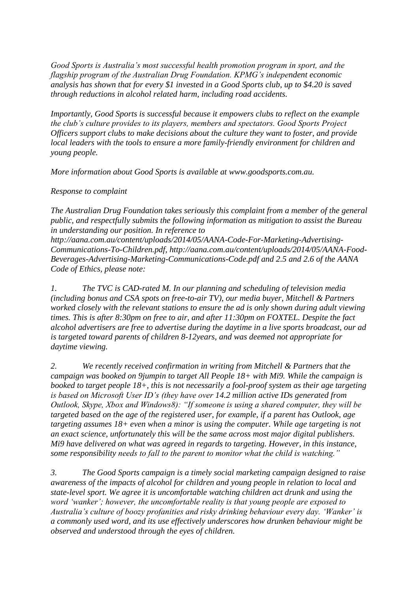*Good Sports is Australia's most successful health promotion program in sport, and the flagship program of the Australian Drug Foundation. KPMG's independent economic analysis has shown that for every \$1 invested in a Good Sports club, up to \$4.20 is saved through reductions in alcohol related harm, including road accidents.* 

*Importantly, Good Sports is successful because it empowers clubs to reflect on the example the club's culture provides to its players, members and spectators. Good Sports Project Officers support clubs to make decisions about the culture they want to foster, and provide local leaders with the tools to ensure a more family-friendly environment for children and young people.* 

*More information about Good Sports is available at www.goodsports.com.au.* 

*Response to complaint*

*The Australian Drug Foundation takes seriously this complaint from a member of the general public, and respectfully submits the following information as mitigation to assist the Bureau in understanding our position. In reference to http://aana.com.au/content/uploads/2014/05/AANA-Code-For-Marketing-Advertising-Communications-To-Children.pdf, http://aana.com.au/content/uploads/2014/05/AANA-Food-Beverages-Advertising-Marketing-Communications-Code.pdf and 2.5 and 2.6 of the AANA Code of Ethics, please note:*

*1. The TVC is CAD-rated M. In our planning and scheduling of television media (including bonus and CSA spots on free-to-air TV), our media buyer, Mitchell & Partners worked closely with the relevant stations to ensure the ad is only shown during adult viewing times. This is after 8:30pm on free to air, and after 11:30pm on FOXTEL. Despite the fact alcohol advertisers are free to advertise during the daytime in a live sports broadcast, our ad is targeted toward parents of children 8-12years, and was deemed not appropriate for daytime viewing.*

*2. We recently received confirmation in writing from Mitchell & Partners that the campaign was booked on 9jumpin to target All People 18+ with Mi9. While the campaign is booked to target people 18+, this is not necessarily a fool-proof system as their age targeting is based on Microsoft User ID's (they have over 14.2 million active IDs generated from Outlook, Skype, Xbox and Windows8): "If someone is using a shared computer, they will be targeted based on the age of the registered user, for example, if a parent has Outlook, age targeting assumes 18+ even when a minor is using the computer. While age targeting is not an exact science, unfortunately this will be the same across most major digital publishers. Mi9 have delivered on what was agreed in regards to targeting. However, in this instance, some responsibility needs to fall to the parent to monitor what the child is watching."*

*3. The Good Sports campaign is a timely social marketing campaign designed to raise awareness of the impacts of alcohol for children and young people in relation to local and state-level sport. We agree it is uncomfortable watching children act drunk and using the word 'wanker'; however, the uncomfortable reality is that young people are exposed to Australia's culture of boozy profanities and risky drinking behaviour every day. 'Wanker' is a commonly used word, and its use effectively underscores how drunken behaviour might be observed and understood through the eyes of children.*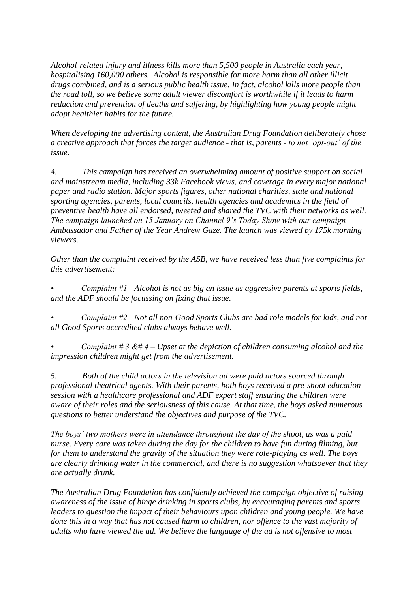*Alcohol-related injury and illness kills more than 5,500 people in Australia each year, hospitalising 160,000 others. Alcohol is responsible for more harm than all other illicit drugs combined, and is a serious public health issue. In fact, alcohol kills more people than the road toll, so we believe some adult viewer discomfort is worthwhile if it leads to harm reduction and prevention of deaths and suffering, by highlighting how young people might adopt healthier habits for the future.*

*When developing the advertising content, the Australian Drug Foundation deliberately chose a creative approach that forces the target audience - that is, parents - to not 'opt-out' of the issue.* 

*4. This campaign has received an overwhelming amount of positive support on social and mainstream media, including 33k Facebook views, and coverage in every major national paper and radio station. Major sports figures, other national charities, state and national sporting agencies, parents, local councils, health agencies and academics in the field of preventive health have all endorsed, tweeted and shared the TVC with their networks as well. The campaign launched on 15 January on Channel 9's Today Show with our campaign Ambassador and Father of the Year Andrew Gaze. The launch was viewed by 175k morning viewers.* 

*Other than the complaint received by the ASB, we have received less than five complaints for this advertisement:*

*• Complaint #1 - Alcohol is not as big an issue as aggressive parents at sports fields, and the ADF should be focussing on fixing that issue.*

*• Complaint #2 - Not all non-Good Sports Clubs are bad role models for kids, and not all Good Sports accredited clubs always behave well.*

*• Complaint # 3 &# 4 – Upset at the depiction of children consuming alcohol and the impression children might get from the advertisement.*

*5. Both of the child actors in the television ad were paid actors sourced through professional theatrical agents. With their parents, both boys received a pre-shoot education session with a healthcare professional and ADF expert staff ensuring the children were aware of their roles and the seriousness of this cause. At that time, the boys asked numerous questions to better understand the objectives and purpose of the TVC.* 

*The boys' two mothers were in attendance throughout the day of the shoot, as was a paid nurse. Every care was taken during the day for the children to have fun during filming, but for them to understand the gravity of the situation they were role-playing as well. The boys are clearly drinking water in the commercial, and there is no suggestion whatsoever that they are actually drunk.*

*The Australian Drug Foundation has confidently achieved the campaign objective of raising awareness of the issue of binge drinking in sports clubs, by encouraging parents and sports leaders to question the impact of their behaviours upon children and young people. We have done this in a way that has not caused harm to children, nor offence to the vast majority of adults who have viewed the ad. We believe the language of the ad is not offensive to most*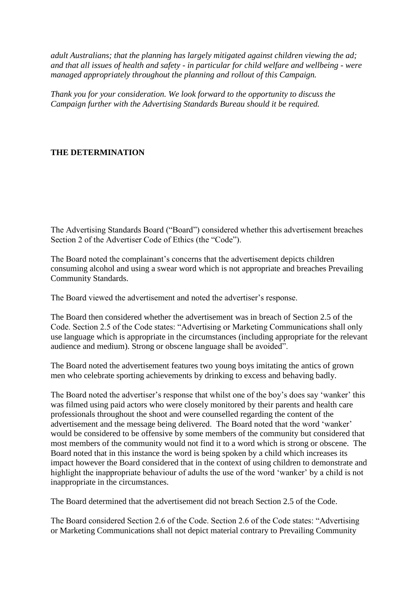*adult Australians; that the planning has largely mitigated against children viewing the ad; and that all issues of health and safety - in particular for child welfare and wellbeing - were managed appropriately throughout the planning and rollout of this Campaign.*

*Thank you for your consideration. We look forward to the opportunity to discuss the Campaign further with the Advertising Standards Bureau should it be required.*

# **THE DETERMINATION**

The Advertising Standards Board ("Board") considered whether this advertisement breaches Section 2 of the Advertiser Code of Ethics (the "Code").

The Board noted the complainant's concerns that the advertisement depicts children consuming alcohol and using a swear word which is not appropriate and breaches Prevailing Community Standards.

The Board viewed the advertisement and noted the advertiser's response.

The Board then considered whether the advertisement was in breach of Section 2.5 of the Code. Section 2.5 of the Code states: "Advertising or Marketing Communications shall only use language which is appropriate in the circumstances (including appropriate for the relevant audience and medium). Strong or obscene language shall be avoided".

The Board noted the advertisement features two young boys imitating the antics of grown men who celebrate sporting achievements by drinking to excess and behaving badly.

The Board noted the advertiser's response that whilst one of the boy's does say 'wanker' this was filmed using paid actors who were closely monitored by their parents and health care professionals throughout the shoot and were counselled regarding the content of the advertisement and the message being delivered. The Board noted that the word 'wanker' would be considered to be offensive by some members of the community but considered that most members of the community would not find it to a word which is strong or obscene. The Board noted that in this instance the word is being spoken by a child which increases its impact however the Board considered that in the context of using children to demonstrate and highlight the inappropriate behaviour of adults the use of the word 'wanker' by a child is not inappropriate in the circumstances.

The Board determined that the advertisement did not breach Section 2.5 of the Code.

The Board considered Section 2.6 of the Code. Section 2.6 of the Code states: "Advertising or Marketing Communications shall not depict material contrary to Prevailing Community